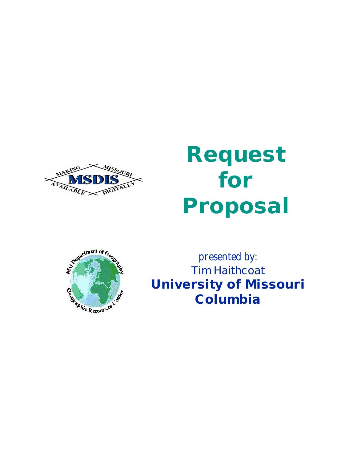

# **Request for Proposal**



*presented by:* **Tim Haithcoat University of Missouri Columbia**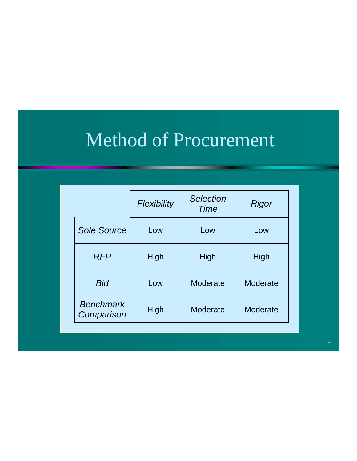## Method of Procurement

|                                | Flexibility | <b>Selection</b><br>Time | <b>Rigor</b> |
|--------------------------------|-------------|--------------------------|--------------|
| <b>Sole Source</b>             | Low         | Low                      | Low          |
| <b>RFP</b>                     | <b>High</b> | High                     | High         |
| <b>Bid</b>                     | Low         | Moderate                 | Moderate     |
| <b>Benchmark</b><br>Comparison | High        | Moderate                 | Moderate     |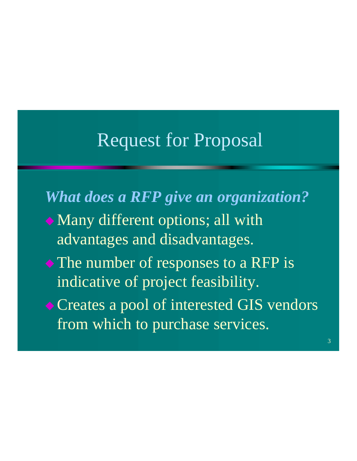## Request for Proposal

#### *What does a RFP give an organization?*

- Many different options; all with advantages and disadvantages.
- The number of responses to a RFP is indicative of project feasibility.
- ◆ Creates a pool of interested GIS vendors from which to purchase services.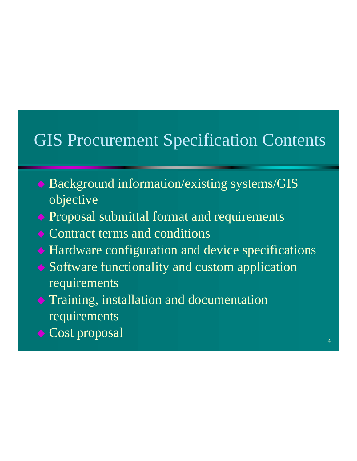### GIS Procurement Specification Contents

- ◆ Background information/existing systems/GIS objective
- ◆ Proposal submittal format and requirements
- **← Contract terms and conditions**
- Hardware configuration and device specifications
- Software functionality and custom application requirements
- Training, installation and documentation requirements
- ◆ Cost proposal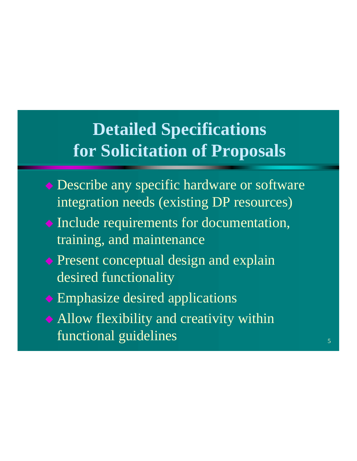## **Detailed Specifications for Solicitation of Proposals**

- Describe any specific hardware or software integration needs (existing DP resources)
- Include requirements for documentation, training, and maintenance
- ◆ Present conceptual design and explain desired functionality
- ◆ Emphasize desired applications
- Allow flexibility and creativity within functional guidelines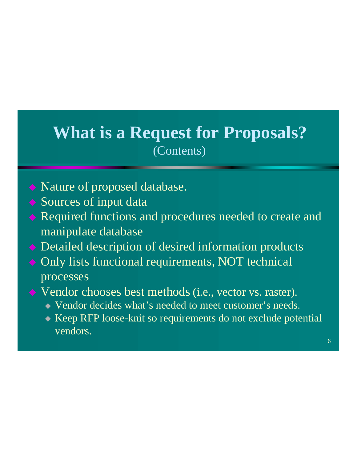#### **What is a Request for Proposals?** (Contents)

- Nature of proposed database.
- ◆ Sources of input data
- Required functions and procedures needed to create and manipulate database
- Detailed description of desired information products
- Only lists functional requirements, NOT technical processes
- ◆ Vendor chooses best methods (i.e., vector vs. raster).
	- ◆ Vendor decides what's needed to meet customer's needs.
	- Keep RFP loose-knit so requirements do not exclude potential vendors.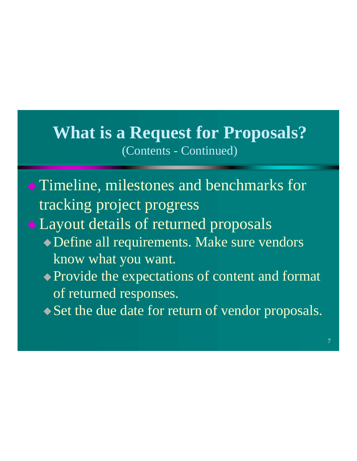#### **What is a Request for Proposals?** (Contents - Continued)

- Timeline, milestones and benchmarks for tracking project progress
- Layout details of returned proposals
	- Define all requirements. Make sure vendors know what you want.
	- Provide the expectations of content and format of returned responses.
	- ◆ Set the due date for return of vendor proposals.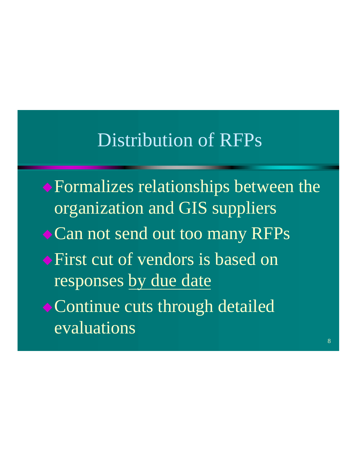## Distribution of RFPs

Formalizes relationships between the organization and GIS suppliers ◆ Can not send out too many RFPs First cut of vendors is based on responses by due date • Continue cuts through detailed evaluations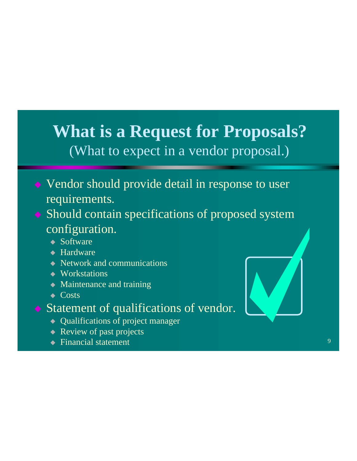#### **What is a Request for Proposals?** (What to expect in a vendor proposal.)

- Vendor should provide detail in response to user requirements.
- Should contain specifications of proposed system configuration.
	- ◆ Software
	- ◆ Hardware
	- ◆ Network and communications
	- ◆ Workstations
	- Maintenance and training
	- ◆ Costs
- ♦ Statement of qualifications of vendor.
	- Qualifications of project manager
	- ◆ Review of past projects
	- ◆ Financial statement